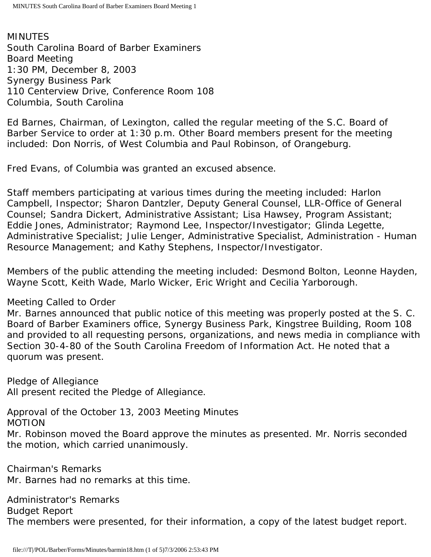MINUTES South Carolina Board of Barber Examiners Board Meeting 1:30 PM, December 8, 2003 Synergy Business Park 110 Centerview Drive, Conference Room 108 Columbia, South Carolina

Ed Barnes, Chairman, of Lexington, called the regular meeting of the S.C. Board of Barber Service to order at 1:30 p.m. Other Board members present for the meeting included: Don Norris, of West Columbia and Paul Robinson, of Orangeburg.

Fred Evans, of Columbia was granted an excused absence.

Staff members participating at various times during the meeting included: Harlon Campbell, Inspector; Sharon Dantzler, Deputy General Counsel, LLR-Office of General Counsel; Sandra Dickert, Administrative Assistant; Lisa Hawsey, Program Assistant; Eddie Jones, Administrator; Raymond Lee, Inspector/Investigator; Glinda Legette, Administrative Specialist; Julie Lenger, Administrative Specialist, Administration - Human Resource Management; and Kathy Stephens, Inspector/Investigator.

Members of the public attending the meeting included: Desmond Bolton, Leonne Hayden, Wayne Scott, Keith Wade, Marlo Wicker, Eric Wright and Cecilia Yarborough.

Meeting Called to Order

Mr. Barnes announced that public notice of this meeting was properly posted at the S. C. Board of Barber Examiners office, Synergy Business Park, Kingstree Building, Room 108 and provided to all requesting persons, organizations, and news media in compliance with Section 30-4-80 of the South Carolina Freedom of Information Act. He noted that a quorum was present.

Pledge of Allegiance All present recited the Pledge of Allegiance.

Approval of the October 13, 2003 Meeting Minutes MOTION

Mr. Robinson moved the Board approve the minutes as presented. Mr. Norris seconded the motion, which carried unanimously.

Chairman's Remarks Mr. Barnes had no remarks at this time.

Administrator's Remarks Budget Report The members were presented, for their information, a copy of the latest budget report.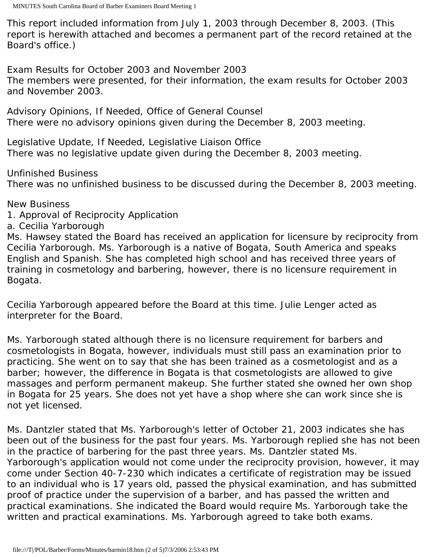This report included information from July 1, 2003 through December 8, 2003. (This report is herewith attached and becomes a permanent part of the record retained at the Board's office.)

Exam Results for October 2003 and November 2003 The members were presented, for their information, the exam results for October 2003 and November 2003.

Advisory Opinions, If Needed, Office of General Counsel There were no advisory opinions given during the December 8, 2003 meeting.

Legislative Update, If Needed, Legislative Liaison Office There was no legislative update given during the December 8, 2003 meeting.

Unfinished Business There was no unfinished business to be discussed during the December 8, 2003 meeting.

New Business

- 1. Approval of Reciprocity Application
- a. Cecilia Yarborough

Ms. Hawsey stated the Board has received an application for licensure by reciprocity from Cecilia Yarborough. Ms. Yarborough is a native of Bogata, South America and speaks English and Spanish. She has completed high school and has received three years of training in cosmetology and barbering, however, there is no licensure requirement in Bogata.

Cecilia Yarborough appeared before the Board at this time. Julie Lenger acted as interpreter for the Board.

Ms. Yarborough stated although there is no licensure requirement for barbers and cosmetologists in Bogata, however, individuals must still pass an examination prior to practicing. She went on to say that she has been trained as a cosmetologist and as a barber; however, the difference in Bogata is that cosmetologists are allowed to give massages and perform permanent makeup. She further stated she owned her own shop in Bogata for 25 years. She does not yet have a shop where she can work since she is not yet licensed.

Ms. Dantzler stated that Ms. Yarborough's letter of October 21, 2003 indicates she has been out of the business for the past four years. Ms. Yarborough replied she has not been in the practice of barbering for the past three years. Ms. Dantzler stated Ms. Yarborough's application would not come under the reciprocity provision, however, it may come under Section 40-7-230 which indicates a certificate of registration may be issued to an individual who is 17 years old, passed the physical examination, and has submitted proof of practice under the supervision of a barber, and has passed the written and practical examinations. She indicated the Board would require Ms. Yarborough take the written and practical examinations. Ms. Yarborough agreed to take both exams.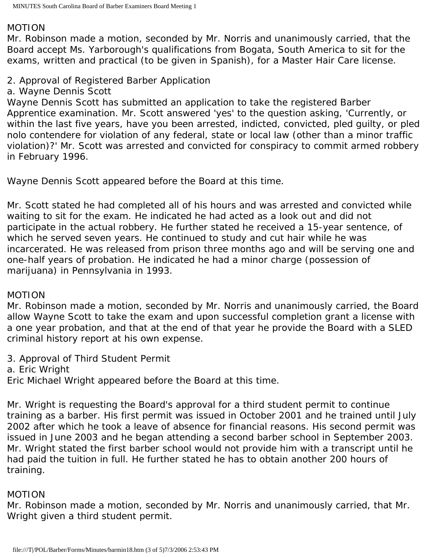#### MOTION

Mr. Robinson made a motion, seconded by Mr. Norris and unanimously carried, that the Board accept Ms. Yarborough's qualifications from Bogata, South America to sit for the exams, written and practical (to be given in Spanish), for a Master Hair Care license.

# 2. Approval of Registered Barber Application

#### a. Wayne Dennis Scott

Wayne Dennis Scott has submitted an application to take the registered Barber Apprentice examination. Mr. Scott answered 'yes' to the question asking, 'Currently, or within the last five years, have you been arrested, indicted, convicted, pled guilty, or pled nolo contendere for violation of any federal, state or local law (other than a minor traffic violation)?' Mr. Scott was arrested and convicted for conspiracy to commit armed robbery in February 1996.

Wayne Dennis Scott appeared before the Board at this time.

Mr. Scott stated he had completed all of his hours and was arrested and convicted while waiting to sit for the exam. He indicated he had acted as a look out and did not participate in the actual robbery. He further stated he received a 15-year sentence, of which he served seven years. He continued to study and cut hair while he was incarcerated. He was released from prison three months ago and will be serving one and one-half years of probation. He indicated he had a minor charge (possession of marijuana) in Pennsylvania in 1993.

## MOTION

Mr. Robinson made a motion, seconded by Mr. Norris and unanimously carried, the Board allow Wayne Scott to take the exam and upon successful completion grant a license with a one year probation, and that at the end of that year he provide the Board with a SLED criminal history report at his own expense.

3. Approval of Third Student Permit

a. Eric Wright

Eric Michael Wright appeared before the Board at this time.

Mr. Wright is requesting the Board's approval for a third student permit to continue training as a barber. His first permit was issued in October 2001 and he trained until July 2002 after which he took a leave of absence for financial reasons. His second permit was issued in June 2003 and he began attending a second barber school in September 2003. Mr. Wright stated the first barber school would not provide him with a transcript until he had paid the tuition in full. He further stated he has to obtain another 200 hours of training.

## MOTION

Mr. Robinson made a motion, seconded by Mr. Norris and unanimously carried, that Mr. Wright given a third student permit.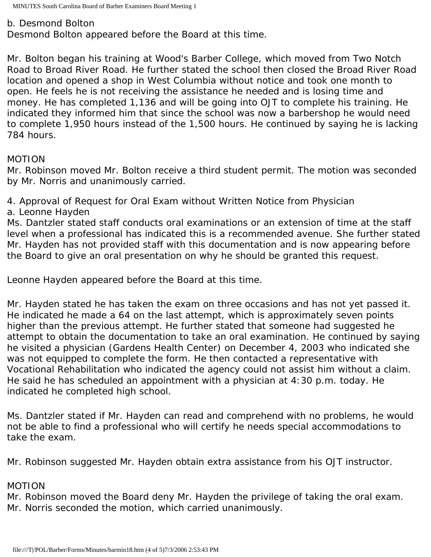#### b. Desmond Bolton

Desmond Bolton appeared before the Board at this time.

Mr. Bolton began his training at Wood's Barber College, which moved from Two Notch Road to Broad River Road. He further stated the school then closed the Broad River Road location and opened a shop in West Columbia without notice and took one month to open. He feels he is not receiving the assistance he needed and is losing time and money. He has completed 1,136 and will be going into OJT to complete his training. He indicated they informed him that since the school was now a barbershop he would need to complete 1,950 hours instead of the 1,500 hours. He continued by saying he is lacking 784 hours.

## MOTION

Mr. Robinson moved Mr. Bolton receive a third student permit. The motion was seconded by Mr. Norris and unanimously carried.

4. Approval of Request for Oral Exam without Written Notice from Physician

a. Leonne Hayden

Ms. Dantzler stated staff conducts oral examinations or an extension of time at the staff level when a professional has indicated this is a recommended avenue. She further stated Mr. Hayden has not provided staff with this documentation and is now appearing before the Board to give an oral presentation on why he should be granted this request.

Leonne Hayden appeared before the Board at this time.

Mr. Hayden stated he has taken the exam on three occasions and has not yet passed it. He indicated he made a 64 on the last attempt, which is approximately seven points higher than the previous attempt. He further stated that someone had suggested he attempt to obtain the documentation to take an oral examination. He continued by saying he visited a physician (Gardens Health Center) on December 4, 2003 who indicated she was not equipped to complete the form. He then contacted a representative with Vocational Rehabilitation who indicated the agency could not assist him without a claim. He said he has scheduled an appointment with a physician at 4:30 p.m. today. He indicated he completed high school.

Ms. Dantzler stated if Mr. Hayden can read and comprehend with no problems, he would not be able to find a professional who will certify he needs special accommodations to take the exam.

Mr. Robinson suggested Mr. Hayden obtain extra assistance from his OJT instructor.

## MOTION

Mr. Robinson moved the Board deny Mr. Hayden the privilege of taking the oral exam. Mr. Norris seconded the motion, which carried unanimously.